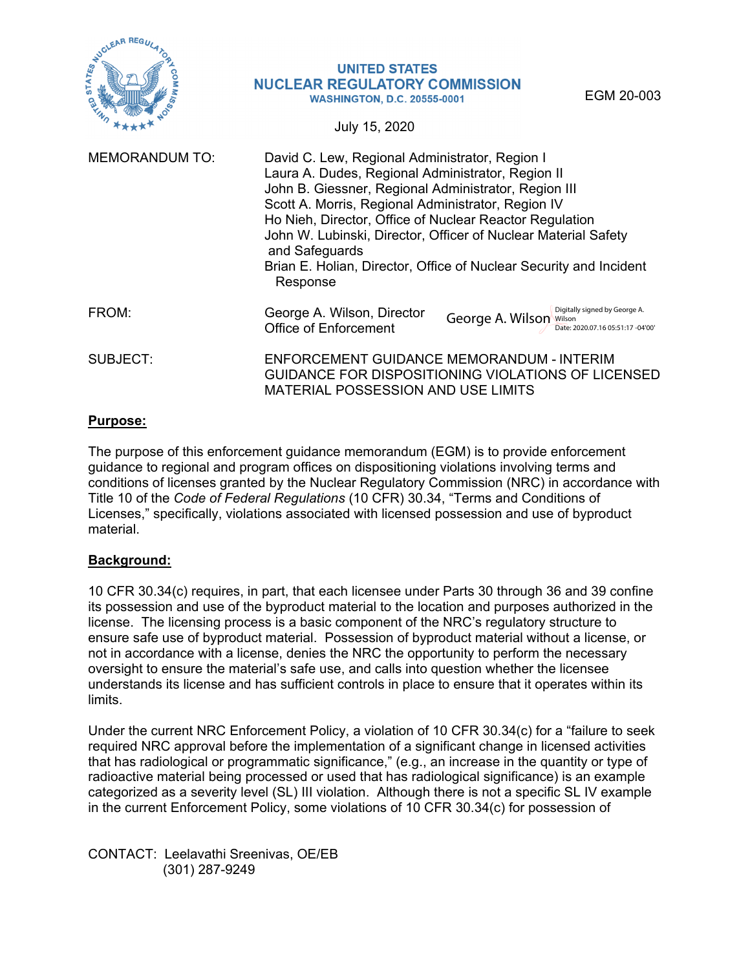

#### **UNITED STATES NUCLEAR REGULATORY COMMISSION WASHINGTON, D.C. 20555-0001**

EGM 20-003

July 15, 2020

| <b>MEMORANDUM TO:</b> | David C. Lew, Regional Administrator, Region I<br>Laura A. Dudes, Regional Administrator, Region II<br>John B. Giessner, Regional Administrator, Region III<br>Scott A. Morris, Regional Administrator, Region IV<br>Ho Nieh, Director, Office of Nuclear Reactor Regulation<br>John W. Lubinski, Director, Officer of Nuclear Material Safety<br>and Safeguards<br>Brian E. Holian, Director, Office of Nuclear Security and Incident<br>Response |  |  |  |  |
|-----------------------|----------------------------------------------------------------------------------------------------------------------------------------------------------------------------------------------------------------------------------------------------------------------------------------------------------------------------------------------------------------------------------------------------------------------------------------------------|--|--|--|--|
| FROM:                 | Digitally signed by George A.<br>George A. Wilson, Director<br>George A. Wilson<br>Wilson<br>Office of Enforcement<br>Date: 2020.07.16 05:51:17 -04'00'                                                                                                                                                                                                                                                                                            |  |  |  |  |
| SUBJECT:              | ENFORCEMENT GUIDANCE MEMORANDUM - INTERIM<br>GUIDANCE FOR DISPOSITIONING VIOLATIONS OF LICENSED<br><b>MATERIAL POSSESSION AND USE LIMITS</b>                                                                                                                                                                                                                                                                                                       |  |  |  |  |

#### **Purpose:**

The purpose of this enforcement guidance memorandum (EGM) is to provide enforcement guidance to regional and program offices on dispositioning violations involving terms and conditions of licenses granted by the Nuclear Regulatory Commission (NRC) in accordance with Title 10 of the *Code of Federal Regulations* (10 CFR) 30.34, "Terms and Conditions of Licenses," specifically, violations associated with licensed possession and use of byproduct material.

#### **Background:**

10 CFR 30.34(c) requires, in part, that each licensee under Parts 30 through 36 and 39 confine its possession and use of the byproduct material to the location and purposes authorized in the license. The licensing process is a basic component of the NRC's regulatory structure to ensure safe use of byproduct material. Possession of byproduct material without a license, or not in accordance with a license, denies the NRC the opportunity to perform the necessary oversight to ensure the material's safe use, and calls into question whether the licensee understands its license and has sufficient controls in place to ensure that it operates within its limits.

Under the current NRC Enforcement Policy, a violation of 10 CFR 30.34(c) for a "failure to seek required NRC approval before the implementation of a significant change in licensed activities that has radiological or programmatic significance," (e.g., an increase in the quantity or type of radioactive material being processed or used that has radiological significance) is an example categorized as a severity level (SL) III violation. Although there is not a specific SL IV example in the current Enforcement Policy, some violations of 10 CFR 30.34(c) for possession of

CONTACT: Leelavathi Sreenivas, OE/EB (301) 287-9249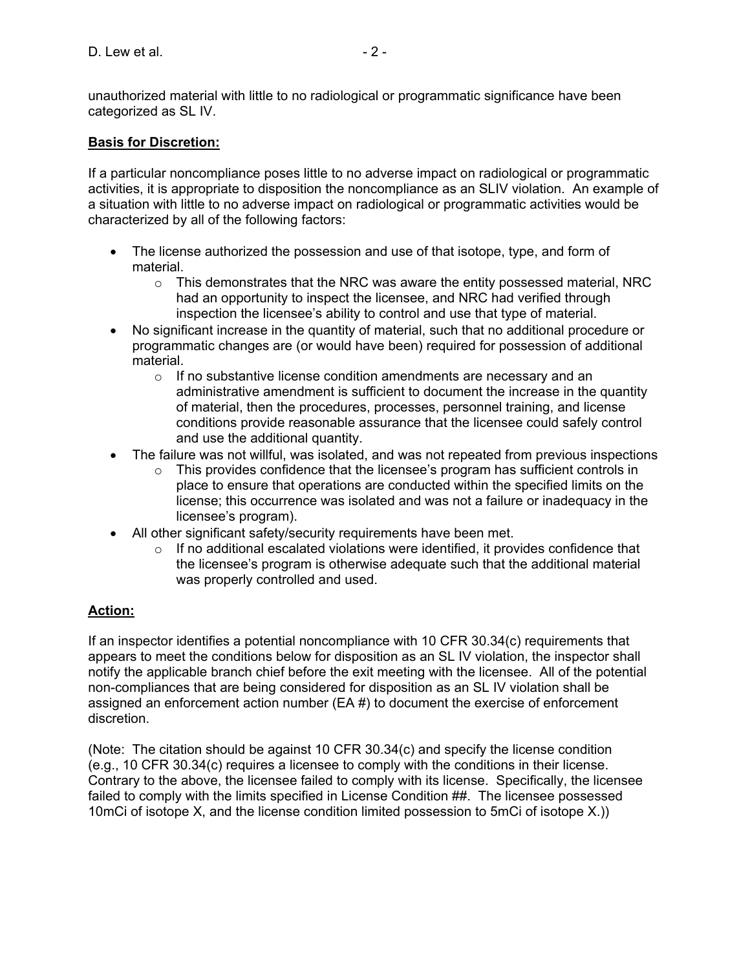unauthorized material with little to no radiological or programmatic significance have been categorized as SL IV.

## **Basis for Discretion:**

If a particular noncompliance poses little to no adverse impact on radiological or programmatic activities, it is appropriate to disposition the noncompliance as an SLIV violation. An example of a situation with little to no adverse impact on radiological or programmatic activities would be characterized by all of the following factors:

- The license authorized the possession and use of that isotope, type, and form of material.
	- $\circ$  This demonstrates that the NRC was aware the entity possessed material, NRC had an opportunity to inspect the licensee, and NRC had verified through inspection the licensee's ability to control and use that type of material.
- No significant increase in the quantity of material, such that no additional procedure or programmatic changes are (or would have been) required for possession of additional material.
	- o If no substantive license condition amendments are necessary and an administrative amendment is sufficient to document the increase in the quantity of material, then the procedures, processes, personnel training, and license conditions provide reasonable assurance that the licensee could safely control and use the additional quantity.
- The failure was not willful, was isolated, and was not repeated from previous inspections
	- $\circ$  This provides confidence that the licensee's program has sufficient controls in place to ensure that operations are conducted within the specified limits on the license; this occurrence was isolated and was not a failure or inadequacy in the licensee's program).
- All other significant safety/security requirements have been met.
	- $\circ$  If no additional escalated violations were identified, it provides confidence that the licensee's program is otherwise adequate such that the additional material was properly controlled and used.

# **Action:**

If an inspector identifies a potential noncompliance with 10 CFR 30.34(c) requirements that appears to meet the conditions below for disposition as an SL IV violation, the inspector shall notify the applicable branch chief before the exit meeting with the licensee. All of the potential non-compliances that are being considered for disposition as an SL IV violation shall be assigned an enforcement action number (EA #) to document the exercise of enforcement discretion.

(Note: The citation should be against 10 CFR 30.34(c) and specify the license condition (e.g., 10 CFR 30.34(c) requires a licensee to comply with the conditions in their license. Contrary to the above, the licensee failed to comply with its license. Specifically, the licensee failed to comply with the limits specified in License Condition ##. The licensee possessed 10mCi of isotope X, and the license condition limited possession to 5mCi of isotope X.))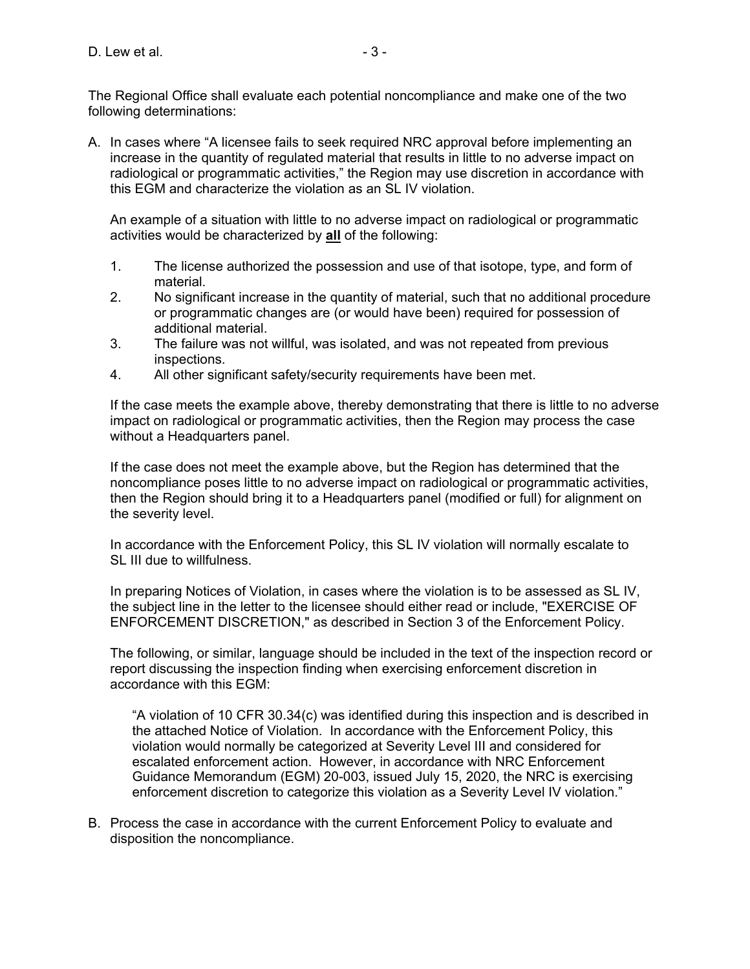The Regional Office shall evaluate each potential noncompliance and make one of the two following determinations:

A. In cases where "A licensee fails to seek required NRC approval before implementing an increase in the quantity of regulated material that results in little to no adverse impact on radiological or programmatic activities," the Region may use discretion in accordance with this EGM and characterize the violation as an SL IV violation.

An example of a situation with little to no adverse impact on radiological or programmatic activities would be characterized by **all** of the following:

- 1. The license authorized the possession and use of that isotope, type, and form of material.
- 2. No significant increase in the quantity of material, such that no additional procedure or programmatic changes are (or would have been) required for possession of additional material.
- 3. The failure was not willful, was isolated, and was not repeated from previous inspections.
- 4. All other significant safety/security requirements have been met.

If the case meets the example above, thereby demonstrating that there is little to no adverse impact on radiological or programmatic activities, then the Region may process the case without a Headquarters panel.

If the case does not meet the example above, but the Region has determined that the noncompliance poses little to no adverse impact on radiological or programmatic activities, then the Region should bring it to a Headquarters panel (modified or full) for alignment on the severity level.

In accordance with the Enforcement Policy, this SL IV violation will normally escalate to SL III due to willfulness.

In preparing Notices of Violation, in cases where the violation is to be assessed as SL IV, the subject line in the letter to the licensee should either read or include, "EXERCISE OF ENFORCEMENT DISCRETION," as described in Section 3 of the Enforcement Policy.

The following, or similar, language should be included in the text of the inspection record or report discussing the inspection finding when exercising enforcement discretion in accordance with this EGM:

"A violation of 10 CFR 30.34(c) was identified during this inspection and is described in the attached Notice of Violation. In accordance with the Enforcement Policy, this violation would normally be categorized at Severity Level III and considered for escalated enforcement action. However, in accordance with NRC Enforcement Guidance Memorandum (EGM) 20-003, issued July 15, 2020, the NRC is exercising enforcement discretion to categorize this violation as a Severity Level IV violation."

B. Process the case in accordance with the current Enforcement Policy to evaluate and disposition the noncompliance.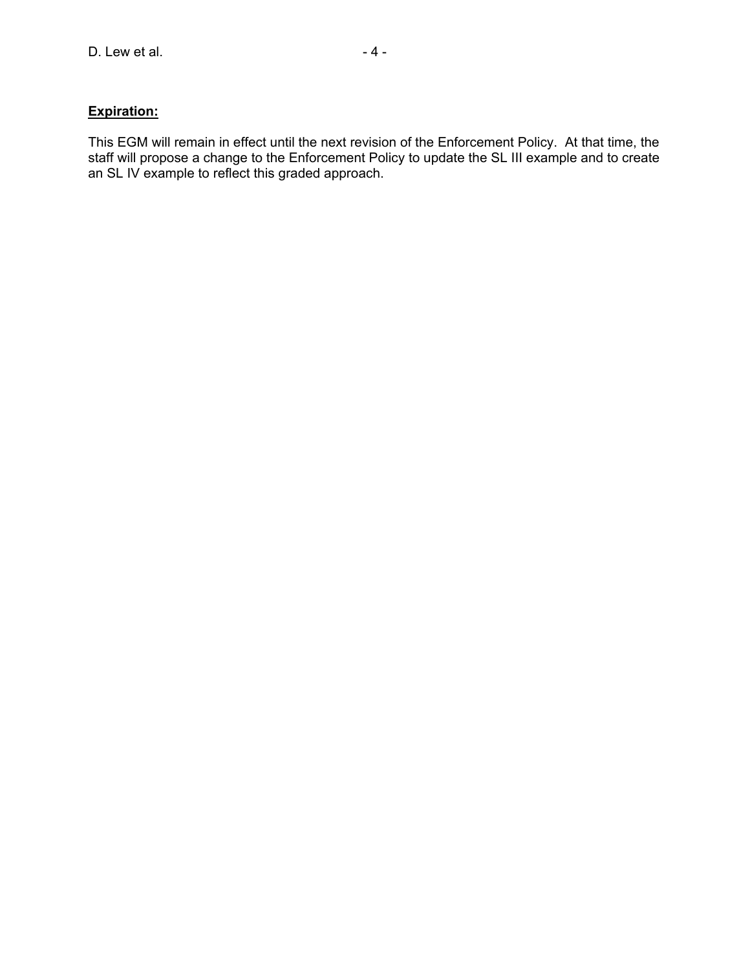# **Expiration:**

This EGM will remain in effect until the next revision of the Enforcement Policy. At that time, the staff will propose a change to the Enforcement Policy to update the SL III example and to create an SL IV example to reflect this graded approach.